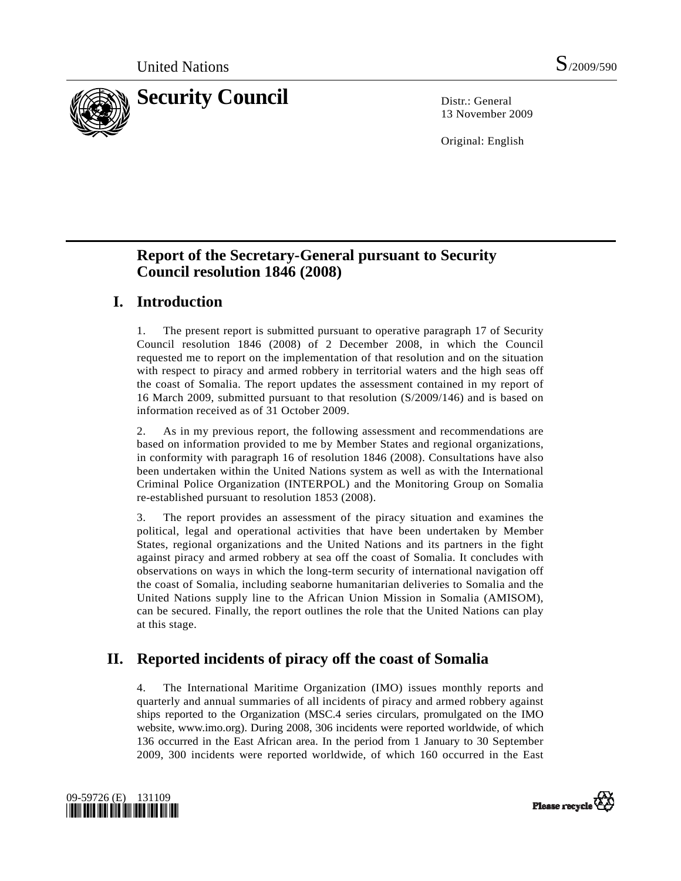

13 November 2009

Original: English

# **Report of the Secretary-General pursuant to Security Council resolution 1846 (2008)**

# **I. Introduction**

1. The present report is submitted pursuant to operative paragraph 17 of Security Council resolution 1846 (2008) of 2 December 2008, in which the Council requested me to report on the implementation of that resolution and on the situation with respect to piracy and armed robbery in territorial waters and the high seas off the coast of Somalia. The report updates the assessment contained in my report of 16 March 2009, submitted pursuant to that resolution (S/2009/146) and is based on information received as of 31 October 2009.

2. As in my previous report, the following assessment and recommendations are based on information provided to me by Member States and regional organizations, in conformity with paragraph 16 of resolution 1846 (2008). Consultations have also been undertaken within the United Nations system as well as with the International Criminal Police Organization (INTERPOL) and the Monitoring Group on Somalia re-established pursuant to resolution 1853 (2008).

3. The report provides an assessment of the piracy situation and examines the political, legal and operational activities that have been undertaken by Member States, regional organizations and the United Nations and its partners in the fight against piracy and armed robbery at sea off the coast of Somalia. It concludes with observations on ways in which the long-term security of international navigation off the coast of Somalia, including seaborne humanitarian deliveries to Somalia and the United Nations supply line to the African Union Mission in Somalia (AMISOM), can be secured. Finally, the report outlines the role that the United Nations can play at this stage.

# **II. Reported incidents of piracy off the coast of Somalia**

4. The International Maritime Organization (IMO) issues monthly reports and quarterly and annual summaries of all incidents of piracy and armed robbery against ships reported to the Organization (MSC.4 series circulars, promulgated on the IMO website, www.imo.org). During 2008, 306 incidents were reported worldwide, of which 136 occurred in the East African area. In the period from 1 January to 30 September 2009, 300 incidents were reported worldwide, of which 160 occurred in the East



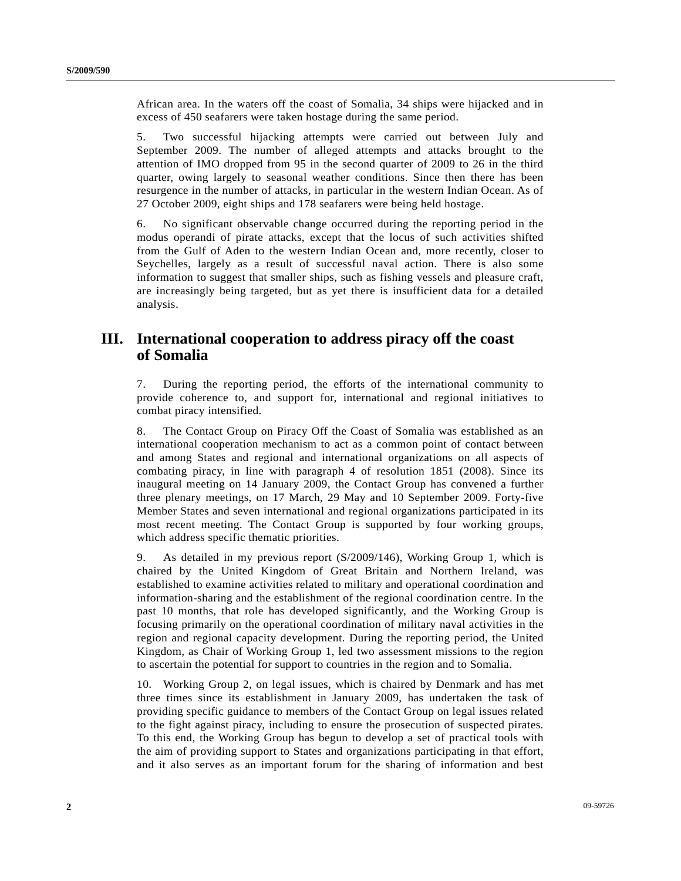African area. In the waters off the coast of Somalia, 34 ships were hijacked and in excess of 450 seafarers were taken hostage during the same period.

5. Two successful hijacking attempts were carried out between July and September 2009. The number of alleged attempts and attacks brought to the attention of IMO dropped from 95 in the second quarter of 2009 to 26 in the third quarter, owing largely to seasonal weather conditions. Since then there has been resurgence in the number of attacks, in particular in the western Indian Ocean. As of 27 October 2009, eight ships and 178 seafarers were being held hostage.

6. No significant observable change occurred during the reporting period in the modus operandi of pirate attacks, except that the locus of such activities shifted from the Gulf of Aden to the western Indian Ocean and, more recently, closer to Seychelles, largely as a result of successful naval action. There is also some information to suggest that smaller ships, such as fishing vessels and pleasure craft, are increasingly being targeted, but as yet there is insufficient data for a detailed analysis.

## **III. International cooperation to address piracy off the coast of Somalia**

7. During the reporting period, the efforts of the international community to provide coherence to, and support for, international and regional initiatives to combat piracy intensified.

8. The Contact Group on Piracy Off the Coast of Somalia was established as an international cooperation mechanism to act as a common point of contact between and among States and regional and international organizations on all aspects of combating piracy, in line with paragraph 4 of resolution 1851 (2008). Since its inaugural meeting on 14 January 2009, the Contact Group has convened a further three plenary meetings, on 17 March, 29 May and 10 September 2009. Forty-five Member States and seven international and regional organizations participated in its most recent meeting. The Contact Group is supported by four working groups, which address specific thematic priorities.

9. As detailed in my previous report (S/2009/146), Working Group 1, which is chaired by the United Kingdom of Great Britain and Northern Ireland, was established to examine activities related to military and operational coordination and information-sharing and the establishment of the regional coordination centre. In the past 10 months, that role has developed significantly, and the Working Group is focusing primarily on the operational coordination of military naval activities in the region and regional capacity development. During the reporting period, the United Kingdom, as Chair of Working Group 1, led two assessment missions to the region to ascertain the potential for support to countries in the region and to Somalia.

10. Working Group 2, on legal issues, which is chaired by Denmark and has met three times since its establishment in January 2009, has undertaken the task of providing specific guidance to members of the Contact Group on legal issues related to the fight against piracy, including to ensure the prosecution of suspected pirates. To this end, the Working Group has begun to develop a set of practical tools with the aim of providing support to States and organizations participating in that effort, and it also serves as an important forum for the sharing of information and best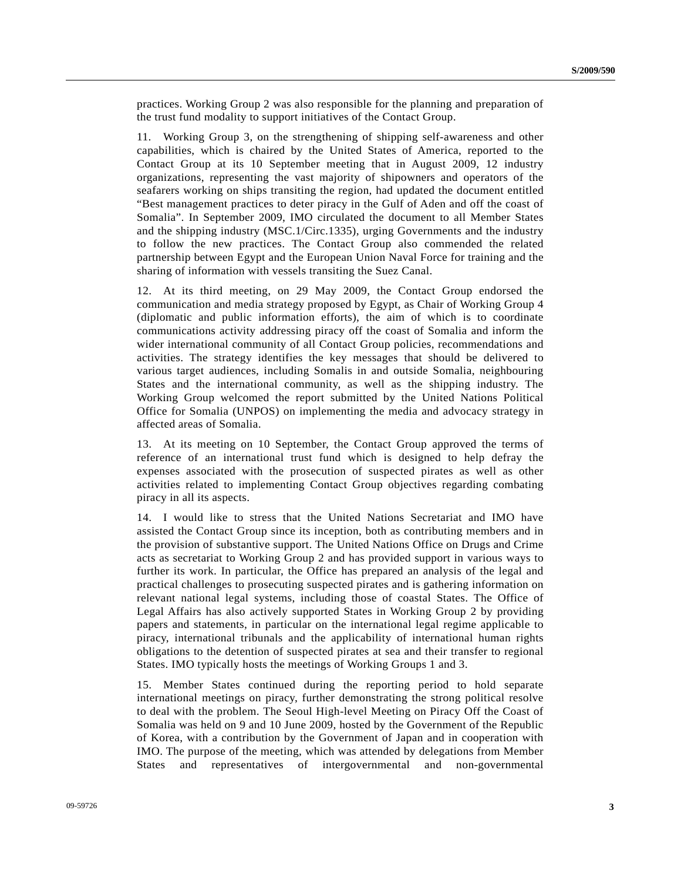practices. Working Group 2 was also responsible for the planning and preparation of the trust fund modality to support initiatives of the Contact Group.

11. Working Group 3, on the strengthening of shipping self-awareness and other capabilities, which is chaired by the United States of America, reported to the Contact Group at its 10 September meeting that in August 2009, 12 industry organizations, representing the vast majority of shipowners and operators of the seafarers working on ships transiting the region, had updated the document entitled "Best management practices to deter piracy in the Gulf of Aden and off the coast of Somalia". In September 2009, IMO circulated the document to all Member States and the shipping industry (MSC.1/Circ.1335), urging Governments and the industry to follow the new practices. The Contact Group also commended the related partnership between Egypt and the European Union Naval Force for training and the sharing of information with vessels transiting the Suez Canal.

12. At its third meeting, on 29 May 2009, the Contact Group endorsed the communication and media strategy proposed by Egypt, as Chair of Working Group 4 (diplomatic and public information efforts), the aim of which is to coordinate communications activity addressing piracy off the coast of Somalia and inform the wider international community of all Contact Group policies, recommendations and activities. The strategy identifies the key messages that should be delivered to various target audiences, including Somalis in and outside Somalia, neighbouring States and the international community, as well as the shipping industry. The Working Group welcomed the report submitted by the United Nations Political Office for Somalia (UNPOS) on implementing the media and advocacy strategy in affected areas of Somalia.

13. At its meeting on 10 September, the Contact Group approved the terms of reference of an international trust fund which is designed to help defray the expenses associated with the prosecution of suspected pirates as well as other activities related to implementing Contact Group objectives regarding combating piracy in all its aspects.

14. I would like to stress that the United Nations Secretariat and IMO have assisted the Contact Group since its inception, both as contributing members and in the provision of substantive support. The United Nations Office on Drugs and Crime acts as secretariat to Working Group 2 and has provided support in various ways to further its work. In particular, the Office has prepared an analysis of the legal and practical challenges to prosecuting suspected pirates and is gathering information on relevant national legal systems, including those of coastal States. The Office of Legal Affairs has also actively supported States in Working Group 2 by providing papers and statements, in particular on the international legal regime applicable to piracy, international tribunals and the applicability of international human rights obligations to the detention of suspected pirates at sea and their transfer to regional States. IMO typically hosts the meetings of Working Groups 1 and 3.

15. Member States continued during the reporting period to hold separate international meetings on piracy, further demonstrating the strong political resolve to deal with the problem. The Seoul High-level Meeting on Piracy Off the Coast of Somalia was held on 9 and 10 June 2009, hosted by the Government of the Republic of Korea, with a contribution by the Government of Japan and in cooperation with IMO. The purpose of the meeting, which was attended by delegations from Member States and representatives of intergovernmental and non-governmental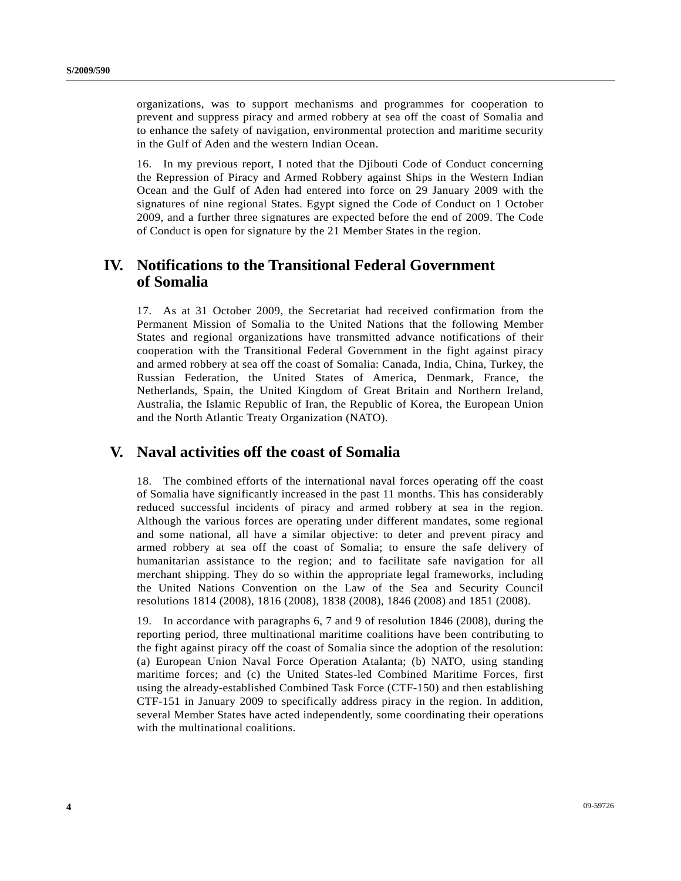organizations, was to support mechanisms and programmes for cooperation to prevent and suppress piracy and armed robbery at sea off the coast of Somalia and to enhance the safety of navigation, environmental protection and maritime security in the Gulf of Aden and the western Indian Ocean.

16. In my previous report, I noted that the Djibouti Code of Conduct concerning the Repression of Piracy and Armed Robbery against Ships in the Western Indian Ocean and the Gulf of Aden had entered into force on 29 January 2009 with the signatures of nine regional States. Egypt signed the Code of Conduct on 1 October 2009, and a further three signatures are expected before the end of 2009. The Code of Conduct is open for signature by the 21 Member States in the region.

## **IV. Notifications to the Transitional Federal Government of Somalia**

17. As at 31 October 2009, the Secretariat had received confirmation from the Permanent Mission of Somalia to the United Nations that the following Member States and regional organizations have transmitted advance notifications of their cooperation with the Transitional Federal Government in the fight against piracy and armed robbery at sea off the coast of Somalia: Canada, India, China, Turkey, the Russian Federation, the United States of America, Denmark, France, the Netherlands, Spain, the United Kingdom of Great Britain and Northern Ireland, Australia, the Islamic Republic of Iran, the Republic of Korea, the European Union and the North Atlantic Treaty Organization (NATO).

## **V. Naval activities off the coast of Somalia**

18. The combined efforts of the international naval forces operating off the coast of Somalia have significantly increased in the past 11 months. This has considerably reduced successful incidents of piracy and armed robbery at sea in the region. Although the various forces are operating under different mandates, some regional and some national, all have a similar objective: to deter and prevent piracy and armed robbery at sea off the coast of Somalia; to ensure the safe delivery of humanitarian assistance to the region; and to facilitate safe navigation for all merchant shipping. They do so within the appropriate legal frameworks, including the United Nations Convention on the Law of the Sea and Security Council resolutions 1814 (2008), 1816 (2008), 1838 (2008), 1846 (2008) and 1851 (2008).

19. In accordance with paragraphs 6, 7 and 9 of resolution 1846 (2008), during the reporting period, three multinational maritime coalitions have been contributing to the fight against piracy off the coast of Somalia since the adoption of the resolution: (a) European Union Naval Force Operation Atalanta; (b) NATO, using standing maritime forces; and (c) the United States-led Combined Maritime Forces, first using the already-established Combined Task Force (CTF-150) and then establishing CTF-151 in January 2009 to specifically address piracy in the region. In addition, several Member States have acted independently, some coordinating their operations with the multinational coalitions.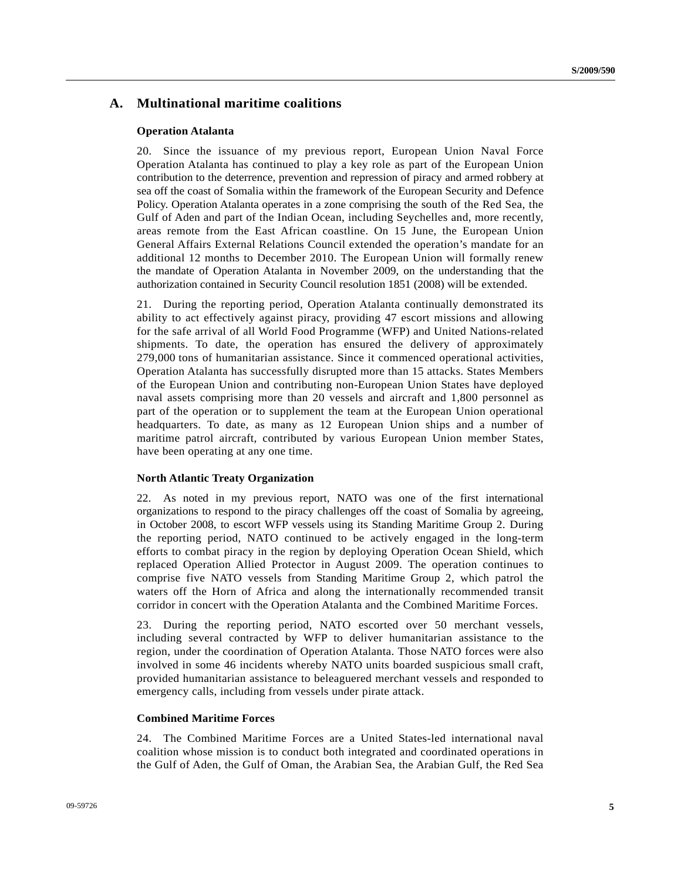### **A. Multinational maritime coalitions**

#### **Operation Atalanta**

20. Since the issuance of my previous report, European Union Naval Force Operation Atalanta has continued to play a key role as part of the European Union contribution to the deterrence, prevention and repression of piracy and armed robbery at sea off the coast of Somalia within the framework of the European Security and Defence Policy. Operation Atalanta operates in a zone comprising the south of the Red Sea, the Gulf of Aden and part of the Indian Ocean, including Seychelles and, more recently, areas remote from the East African coastline. On 15 June, the European Union General Affairs External Relations Council extended the operation's mandate for an additional 12 months to December 2010. The European Union will formally renew the mandate of Operation Atalanta in November 2009, on the understanding that the authorization contained in Security Council resolution 1851 (2008) will be extended.

21. During the reporting period, Operation Atalanta continually demonstrated its ability to act effectively against piracy, providing 47 escort missions and allowing for the safe arrival of all World Food Programme (WFP) and United Nations-related shipments. To date, the operation has ensured the delivery of approximately 279,000 tons of humanitarian assistance. Since it commenced operational activities, Operation Atalanta has successfully disrupted more than 15 attacks. States Members of the European Union and contributing non-European Union States have deployed naval assets comprising more than 20 vessels and aircraft and 1,800 personnel as part of the operation or to supplement the team at the European Union operational headquarters. To date, as many as 12 European Union ships and a number of maritime patrol aircraft, contributed by various European Union member States, have been operating at any one time.

#### **North Atlantic Treaty Organization**

22. As noted in my previous report, NATO was one of the first international organizations to respond to the piracy challenges off the coast of Somalia by agreeing, in October 2008, to escort WFP vessels using its Standing Maritime Group 2. During the reporting period, NATO continued to be actively engaged in the long-term efforts to combat piracy in the region by deploying Operation Ocean Shield, which replaced Operation Allied Protector in August 2009. The operation continues to comprise five NATO vessels from Standing Maritime Group 2, which patrol the waters off the Horn of Africa and along the internationally recommended transit corridor in concert with the Operation Atalanta and the Combined Maritime Forces.

23. During the reporting period, NATO escorted over 50 merchant vessels, including several contracted by WFP to deliver humanitarian assistance to the region, under the coordination of Operation Atalanta. Those NATO forces were also involved in some 46 incidents whereby NATO units boarded suspicious small craft, provided humanitarian assistance to beleaguered merchant vessels and responded to emergency calls, including from vessels under pirate attack.

#### **Combined Maritime Forces**

24. The Combined Maritime Forces are a United States-led international naval coalition whose mission is to conduct both integrated and coordinated operations in the Gulf of Aden, the Gulf of Oman, the Arabian Sea, the Arabian Gulf, the Red Sea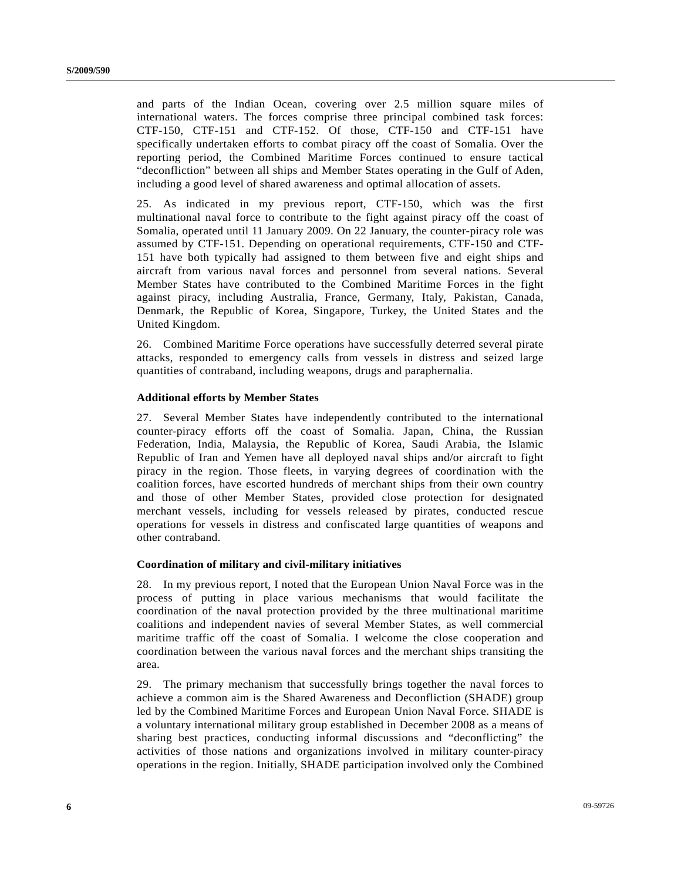and parts of the Indian Ocean, covering over 2.5 million square miles of international waters. The forces comprise three principal combined task forces: CTF-150, CTF-151 and CTF-152. Of those, CTF-150 and CTF-151 have specifically undertaken efforts to combat piracy off the coast of Somalia. Over the reporting period, the Combined Maritime Forces continued to ensure tactical "deconfliction" between all ships and Member States operating in the Gulf of Aden, including a good level of shared awareness and optimal allocation of assets.

25. As indicated in my previous report, CTF-150, which was the first multinational naval force to contribute to the fight against piracy off the coast of Somalia, operated until 11 January 2009. On 22 January, the counter-piracy role was assumed by CTF-151. Depending on operational requirements, CTF-150 and CTF-151 have both typically had assigned to them between five and eight ships and aircraft from various naval forces and personnel from several nations. Several Member States have contributed to the Combined Maritime Forces in the fight against piracy, including Australia, France, Germany, Italy, Pakistan, Canada, Denmark, the Republic of Korea, Singapore, Turkey, the United States and the United Kingdom.

26. Combined Maritime Force operations have successfully deterred several pirate attacks, responded to emergency calls from vessels in distress and seized large quantities of contraband, including weapons, drugs and paraphernalia.

#### **Additional efforts by Member States**

27. Several Member States have independently contributed to the international counter-piracy efforts off the coast of Somalia. Japan, China, the Russian Federation, India, Malaysia, the Republic of Korea, Saudi Arabia, the Islamic Republic of Iran and Yemen have all deployed naval ships and/or aircraft to fight piracy in the region. Those fleets, in varying degrees of coordination with the coalition forces, have escorted hundreds of merchant ships from their own country and those of other Member States, provided close protection for designated merchant vessels, including for vessels released by pirates, conducted rescue operations for vessels in distress and confiscated large quantities of weapons and other contraband.

#### **Coordination of military and civil-military initiatives**

28. In my previous report, I noted that the European Union Naval Force was in the process of putting in place various mechanisms that would facilitate the coordination of the naval protection provided by the three multinational maritime coalitions and independent navies of several Member States, as well commercial maritime traffic off the coast of Somalia. I welcome the close cooperation and coordination between the various naval forces and the merchant ships transiting the area.

29. The primary mechanism that successfully brings together the naval forces to achieve a common aim is the Shared Awareness and Deconfliction (SHADE) group led by the Combined Maritime Forces and European Union Naval Force. SHADE is a voluntary international military group established in December 2008 as a means of sharing best practices, conducting informal discussions and "deconflicting" the activities of those nations and organizations involved in military counter-piracy operations in the region. Initially, SHADE participation involved only the Combined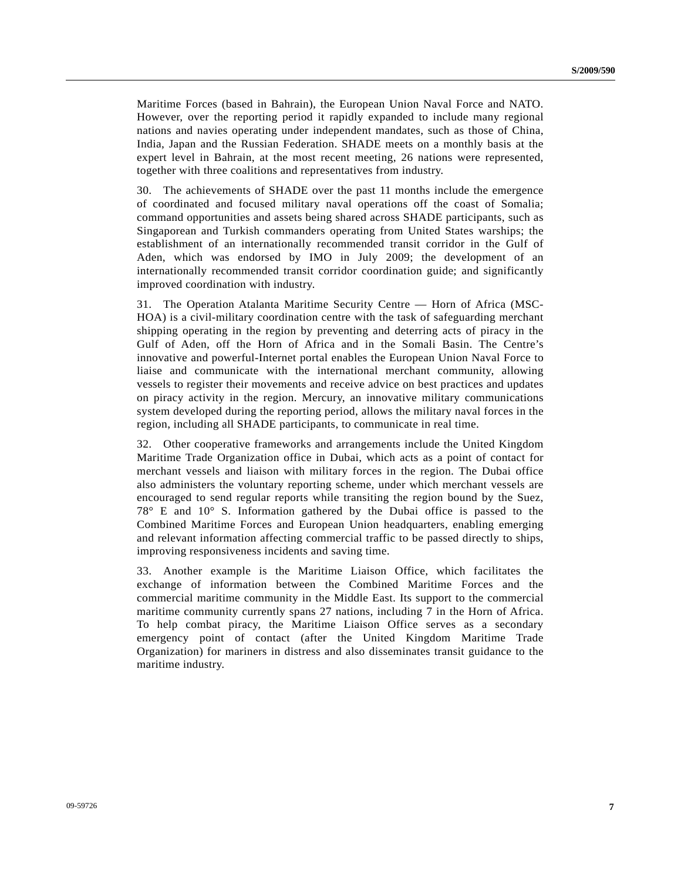Maritime Forces (based in Bahrain), the European Union Naval Force and NATO. However, over the reporting period it rapidly expanded to include many regional nations and navies operating under independent mandates, such as those of China, India, Japan and the Russian Federation. SHADE meets on a monthly basis at the expert level in Bahrain, at the most recent meeting, 26 nations were represented, together with three coalitions and representatives from industry.

30. The achievements of SHADE over the past 11 months include the emergence of coordinated and focused military naval operations off the coast of Somalia; command opportunities and assets being shared across SHADE participants, such as Singaporean and Turkish commanders operating from United States warships; the establishment of an internationally recommended transit corridor in the Gulf of Aden, which was endorsed by IMO in July 2009; the development of an internationally recommended transit corridor coordination guide; and significantly improved coordination with industry.

31. The Operation Atalanta Maritime Security Centre — Horn of Africa (MSC-HOA) is a civil-military coordination centre with the task of safeguarding merchant shipping operating in the region by preventing and deterring acts of piracy in the Gulf of Aden, off the Horn of Africa and in the Somali Basin. The Centre's innovative and powerful-Internet portal enables the European Union Naval Force to liaise and communicate with the international merchant community, allowing vessels to register their movements and receive advice on best practices and updates on piracy activity in the region. Mercury, an innovative military communications system developed during the reporting period, allows the military naval forces in the region, including all SHADE participants, to communicate in real time.

32. Other cooperative frameworks and arrangements include the United Kingdom Maritime Trade Organization office in Dubai, which acts as a point of contact for merchant vessels and liaison with military forces in the region. The Dubai office also administers the voluntary reporting scheme, under which merchant vessels are encouraged to send regular reports while transiting the region bound by the Suez, 78° E and 10° S. Information gathered by the Dubai office is passed to the Combined Maritime Forces and European Union headquarters, enabling emerging and relevant information affecting commercial traffic to be passed directly to ships, improving responsiveness incidents and saving time.

33. Another example is the Maritime Liaison Office, which facilitates the exchange of information between the Combined Maritime Forces and the commercial maritime community in the Middle East. Its support to the commercial maritime community currently spans 27 nations, including 7 in the Horn of Africa. To help combat piracy, the Maritime Liaison Office serves as a secondary emergency point of contact (after the United Kingdom Maritime Trade Organization) for mariners in distress and also disseminates transit guidance to the maritime industry.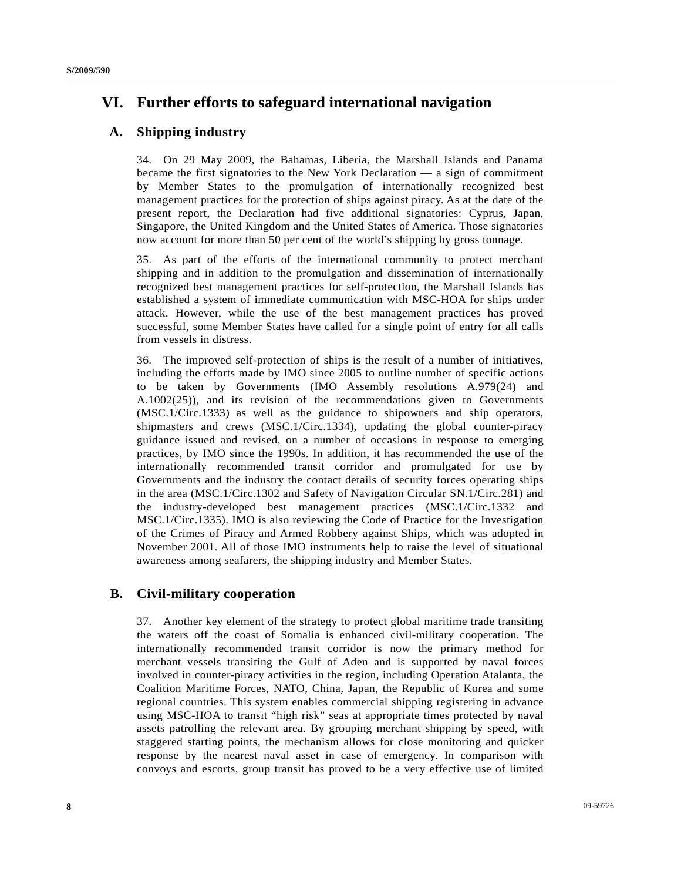# **VI. Further efforts to safeguard international navigation**

## **A. Shipping industry**

34. On 29 May 2009, the Bahamas, Liberia, the Marshall Islands and Panama became the first signatories to the New York Declaration — a sign of commitment by Member States to the promulgation of internationally recognized best management practices for the protection of ships against piracy. As at the date of the present report, the Declaration had five additional signatories: Cyprus, Japan, Singapore, the United Kingdom and the United States of America. Those signatories now account for more than 50 per cent of the world's shipping by gross tonnage.

35. As part of the efforts of the international community to protect merchant shipping and in addition to the promulgation and dissemination of internationally recognized best management practices for self-protection, the Marshall Islands has established a system of immediate communication with MSC-HOA for ships under attack. However, while the use of the best management practices has proved successful, some Member States have called for a single point of entry for all calls from vessels in distress.

36. The improved self-protection of ships is the result of a number of initiatives, including the efforts made by IMO since 2005 to outline number of specific actions to be taken by Governments (IMO Assembly resolutions A.979(24) and A.1002(25)), and its revision of the recommendations given to Governments (MSC.1/Circ.1333) as well as the guidance to shipowners and ship operators, shipmasters and crews (MSC.1/Circ.1334), updating the global counter-piracy guidance issued and revised, on a number of occasions in response to emerging practices, by IMO since the 1990s. In addition, it has recommended the use of the internationally recommended transit corridor and promulgated for use by Governments and the industry the contact details of security forces operating ships in the area (MSC.1/Circ.1302 and Safety of Navigation Circular SN.1/Circ.281) and the industry-developed best management practices (MSC.1/Circ.1332 and MSC.1/Circ.1335). IMO is also reviewing the Code of Practice for the Investigation of the Crimes of Piracy and Armed Robbery against Ships, which was adopted in November 2001. All of those IMO instruments help to raise the level of situational awareness among seafarers, the shipping industry and Member States.

## **B. Civil-military cooperation**

37. Another key element of the strategy to protect global maritime trade transiting the waters off the coast of Somalia is enhanced civil-military cooperation. The internationally recommended transit corridor is now the primary method for merchant vessels transiting the Gulf of Aden and is supported by naval forces involved in counter-piracy activities in the region, including Operation Atalanta, the Coalition Maritime Forces, NATO, China, Japan, the Republic of Korea and some regional countries. This system enables commercial shipping registering in advance using MSC-HOA to transit "high risk" seas at appropriate times protected by naval assets patrolling the relevant area. By grouping merchant shipping by speed, with staggered starting points, the mechanism allows for close monitoring and quicker response by the nearest naval asset in case of emergency. In comparison with convoys and escorts, group transit has proved to be a very effective use of limited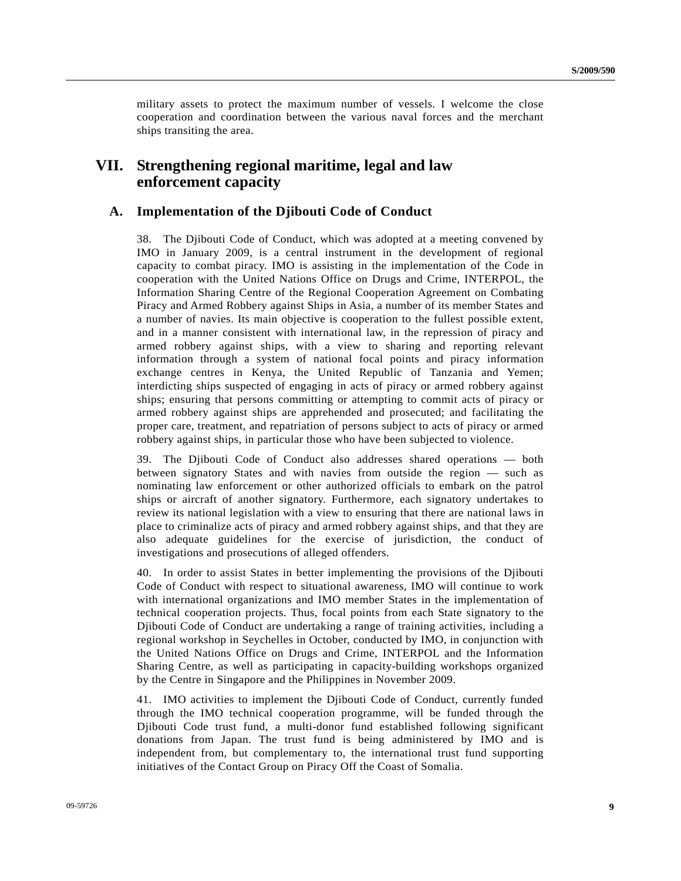military assets to protect the maximum number of vessels. I welcome the close cooperation and coordination between the various naval forces and the merchant ships transiting the area.

## **VII. Strengthening regional maritime, legal and law enforcement capacity**

### **A. Implementation of the Djibouti Code of Conduct**

38. The Djibouti Code of Conduct, which was adopted at a meeting convened by IMO in January 2009, is a central instrument in the development of regional capacity to combat piracy. IMO is assisting in the implementation of the Code in cooperation with the United Nations Office on Drugs and Crime, INTERPOL, the Information Sharing Centre of the Regional Cooperation Agreement on Combating Piracy and Armed Robbery against Ships in Asia, a number of its member States and a number of navies. Its main objective is cooperation to the fullest possible extent, and in a manner consistent with international law, in the repression of piracy and armed robbery against ships, with a view to sharing and reporting relevant information through a system of national focal points and piracy information exchange centres in Kenya, the United Republic of Tanzania and Yemen; interdicting ships suspected of engaging in acts of piracy or armed robbery against ships; ensuring that persons committing or attempting to commit acts of piracy or armed robbery against ships are apprehended and prosecuted; and facilitating the proper care, treatment, and repatriation of persons subject to acts of piracy or armed robbery against ships, in particular those who have been subjected to violence.

39. The Djibouti Code of Conduct also addresses shared operations — both between signatory States and with navies from outside the region — such as nominating law enforcement or other authorized officials to embark on the patrol ships or aircraft of another signatory. Furthermore, each signatory undertakes to review its national legislation with a view to ensuring that there are national laws in place to criminalize acts of piracy and armed robbery against ships, and that they are also adequate guidelines for the exercise of jurisdiction, the conduct of investigations and prosecutions of alleged offenders.

40. In order to assist States in better implementing the provisions of the Djibouti Code of Conduct with respect to situational awareness, IMO will continue to work with international organizations and IMO member States in the implementation of technical cooperation projects. Thus, focal points from each State signatory to the Djibouti Code of Conduct are undertaking a range of training activities, including a regional workshop in Seychelles in October, conducted by IMO, in conjunction with the United Nations Office on Drugs and Crime, INTERPOL and the Information Sharing Centre, as well as participating in capacity-building workshops organized by the Centre in Singapore and the Philippines in November 2009.

41. IMO activities to implement the Djibouti Code of Conduct, currently funded through the IMO technical cooperation programme, will be funded through the Djibouti Code trust fund, a multi-donor fund established following significant donations from Japan. The trust fund is being administered by IMO and is independent from, but complementary to, the international trust fund supporting initiatives of the Contact Group on Piracy Off the Coast of Somalia.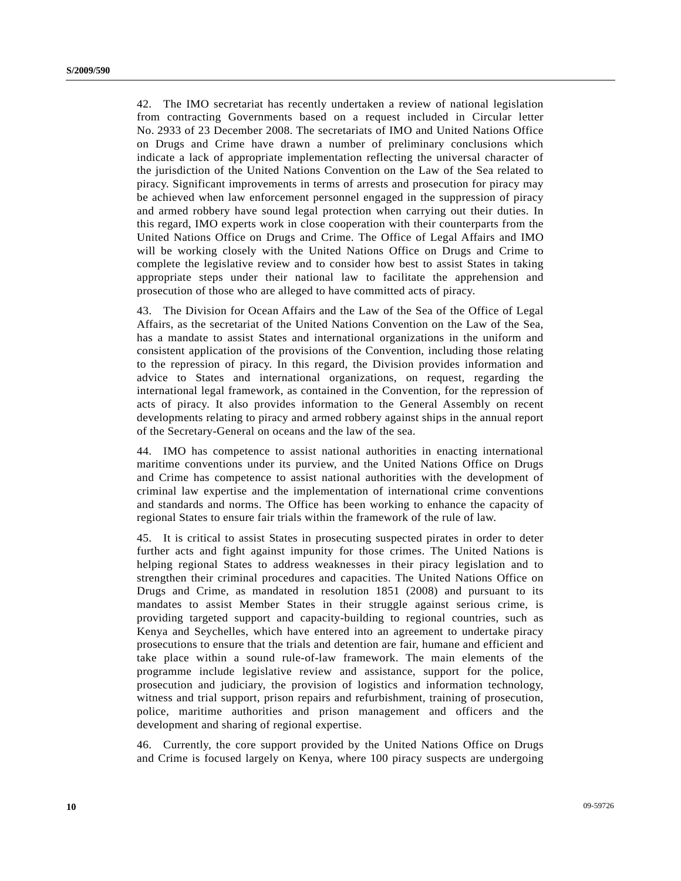42. The IMO secretariat has recently undertaken a review of national legislation from contracting Governments based on a request included in Circular letter No. 2933 of 23 December 2008. The secretariats of IMO and United Nations Office on Drugs and Crime have drawn a number of preliminary conclusions which indicate a lack of appropriate implementation reflecting the universal character of the jurisdiction of the United Nations Convention on the Law of the Sea related to piracy. Significant improvements in terms of arrests and prosecution for piracy may be achieved when law enforcement personnel engaged in the suppression of piracy and armed robbery have sound legal protection when carrying out their duties. In this regard, IMO experts work in close cooperation with their counterparts from the United Nations Office on Drugs and Crime. The Office of Legal Affairs and IMO will be working closely with the United Nations Office on Drugs and Crime to complete the legislative review and to consider how best to assist States in taking appropriate steps under their national law to facilitate the apprehension and prosecution of those who are alleged to have committed acts of piracy.

43. The Division for Ocean Affairs and the Law of the Sea of the Office of Legal Affairs, as the secretariat of the United Nations Convention on the Law of the Sea, has a mandate to assist States and international organizations in the uniform and consistent application of the provisions of the Convention, including those relating to the repression of piracy. In this regard, the Division provides information and advice to States and international organizations, on request, regarding the international legal framework, as contained in the Convention, for the repression of acts of piracy. It also provides information to the General Assembly on recent developments relating to piracy and armed robbery against ships in the annual report of the Secretary-General on oceans and the law of the sea.

44. IMO has competence to assist national authorities in enacting international maritime conventions under its purview, and the United Nations Office on Drugs and Crime has competence to assist national authorities with the development of criminal law expertise and the implementation of international crime conventions and standards and norms. The Office has been working to enhance the capacity of regional States to ensure fair trials within the framework of the rule of law.

45. It is critical to assist States in prosecuting suspected pirates in order to deter further acts and fight against impunity for those crimes. The United Nations is helping regional States to address weaknesses in their piracy legislation and to strengthen their criminal procedures and capacities. The United Nations Office on Drugs and Crime, as mandated in resolution 1851 (2008) and pursuant to its mandates to assist Member States in their struggle against serious crime, is providing targeted support and capacity-building to regional countries, such as Kenya and Seychelles, which have entered into an agreement to undertake piracy prosecutions to ensure that the trials and detention are fair, humane and efficient and take place within a sound rule-of-law framework. The main elements of the programme include legislative review and assistance, support for the police, prosecution and judiciary, the provision of logistics and information technology, witness and trial support, prison repairs and refurbishment, training of prosecution, police, maritime authorities and prison management and officers and the development and sharing of regional expertise.

46. Currently, the core support provided by the United Nations Office on Drugs and Crime is focused largely on Kenya, where 100 piracy suspects are undergoing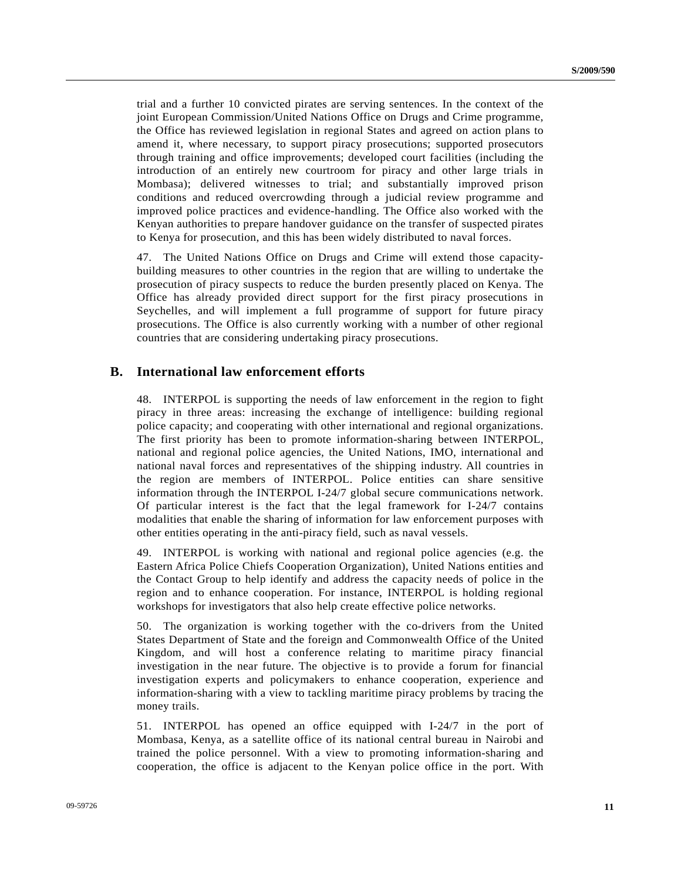trial and a further 10 convicted pirates are serving sentences. In the context of the joint European Commission/United Nations Office on Drugs and Crime programme, the Office has reviewed legislation in regional States and agreed on action plans to amend it, where necessary, to support piracy prosecutions; supported prosecutors through training and office improvements; developed court facilities (including the introduction of an entirely new courtroom for piracy and other large trials in Mombasa); delivered witnesses to trial; and substantially improved prison conditions and reduced overcrowding through a judicial review programme and improved police practices and evidence-handling. The Office also worked with the Kenyan authorities to prepare handover guidance on the transfer of suspected pirates to Kenya for prosecution, and this has been widely distributed to naval forces.

47. The United Nations Office on Drugs and Crime will extend those capacitybuilding measures to other countries in the region that are willing to undertake the prosecution of piracy suspects to reduce the burden presently placed on Kenya. The Office has already provided direct support for the first piracy prosecutions in Seychelles, and will implement a full programme of support for future piracy prosecutions. The Office is also currently working with a number of other regional countries that are considering undertaking piracy prosecutions.

### **B. International law enforcement efforts**

48. INTERPOL is supporting the needs of law enforcement in the region to fight piracy in three areas: increasing the exchange of intelligence: building regional police capacity; and cooperating with other international and regional organizations. The first priority has been to promote information-sharing between INTERPOL, national and regional police agencies, the United Nations, IMO, international and national naval forces and representatives of the shipping industry. All countries in the region are members of INTERPOL. Police entities can share sensitive information through the INTERPOL I-24/7 global secure communications network. Of particular interest is the fact that the legal framework for I-24/7 contains modalities that enable the sharing of information for law enforcement purposes with other entities operating in the anti-piracy field, such as naval vessels.

49. INTERPOL is working with national and regional police agencies (e.g. the Eastern Africa Police Chiefs Cooperation Organization), United Nations entities and the Contact Group to help identify and address the capacity needs of police in the region and to enhance cooperation. For instance, INTERPOL is holding regional workshops for investigators that also help create effective police networks.

50. The organization is working together with the co-drivers from the United States Department of State and the foreign and Commonwealth Office of the United Kingdom, and will host a conference relating to maritime piracy financial investigation in the near future. The objective is to provide a forum for financial investigation experts and policymakers to enhance cooperation, experience and information-sharing with a view to tackling maritime piracy problems by tracing the money trails.

51. INTERPOL has opened an office equipped with I-24/7 in the port of Mombasa, Kenya, as a satellite office of its national central bureau in Nairobi and trained the police personnel. With a view to promoting information-sharing and cooperation, the office is adjacent to the Kenyan police office in the port. With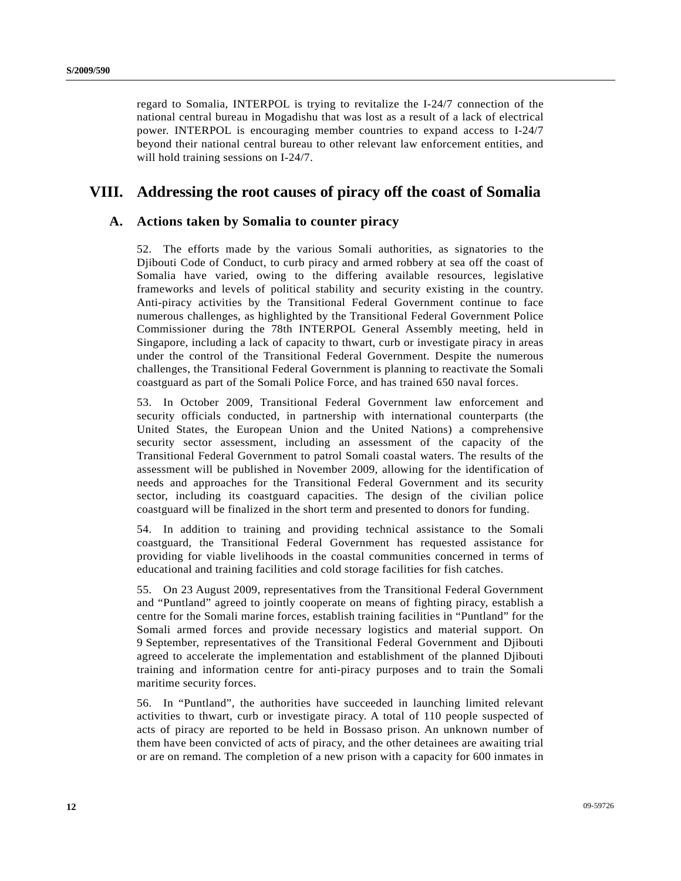regard to Somalia, INTERPOL is trying to revitalize the I-24/7 connection of the national central bureau in Mogadishu that was lost as a result of a lack of electrical power. INTERPOL is encouraging member countries to expand access to I-24/7 beyond their national central bureau to other relevant law enforcement entities, and will hold training sessions on I-24/7.

## **VIII. Addressing the root causes of piracy off the coast of Somalia**

### **A. Actions taken by Somalia to counter piracy**

52. The efforts made by the various Somali authorities, as signatories to the Djibouti Code of Conduct, to curb piracy and armed robbery at sea off the coast of Somalia have varied, owing to the differing available resources, legislative frameworks and levels of political stability and security existing in the country. Anti-piracy activities by the Transitional Federal Government continue to face numerous challenges, as highlighted by the Transitional Federal Government Police Commissioner during the 78th INTERPOL General Assembly meeting, held in Singapore, including a lack of capacity to thwart, curb or investigate piracy in areas under the control of the Transitional Federal Government. Despite the numerous challenges, the Transitional Federal Government is planning to reactivate the Somali coastguard as part of the Somali Police Force, and has trained 650 naval forces.

53. In October 2009, Transitional Federal Government law enforcement and security officials conducted, in partnership with international counterparts (the United States, the European Union and the United Nations) a comprehensive security sector assessment, including an assessment of the capacity of the Transitional Federal Government to patrol Somali coastal waters. The results of the assessment will be published in November 2009, allowing for the identification of needs and approaches for the Transitional Federal Government and its security sector, including its coastguard capacities. The design of the civilian police coastguard will be finalized in the short term and presented to donors for funding.

54. In addition to training and providing technical assistance to the Somali coastguard, the Transitional Federal Government has requested assistance for providing for viable livelihoods in the coastal communities concerned in terms of educational and training facilities and cold storage facilities for fish catches.

55. On 23 August 2009, representatives from the Transitional Federal Government and "Puntland" agreed to jointly cooperate on means of fighting piracy, establish a centre for the Somali marine forces, establish training facilities in "Puntland" for the Somali armed forces and provide necessary logistics and material support. On 9 September, representatives of the Transitional Federal Government and Djibouti agreed to accelerate the implementation and establishment of the planned Djibouti training and information centre for anti-piracy purposes and to train the Somali maritime security forces.

56. In "Puntland", the authorities have succeeded in launching limited relevant activities to thwart, curb or investigate piracy. A total of 110 people suspected of acts of piracy are reported to be held in Bossaso prison. An unknown number of them have been convicted of acts of piracy, and the other detainees are awaiting trial or are on remand. The completion of a new prison with a capacity for 600 inmates in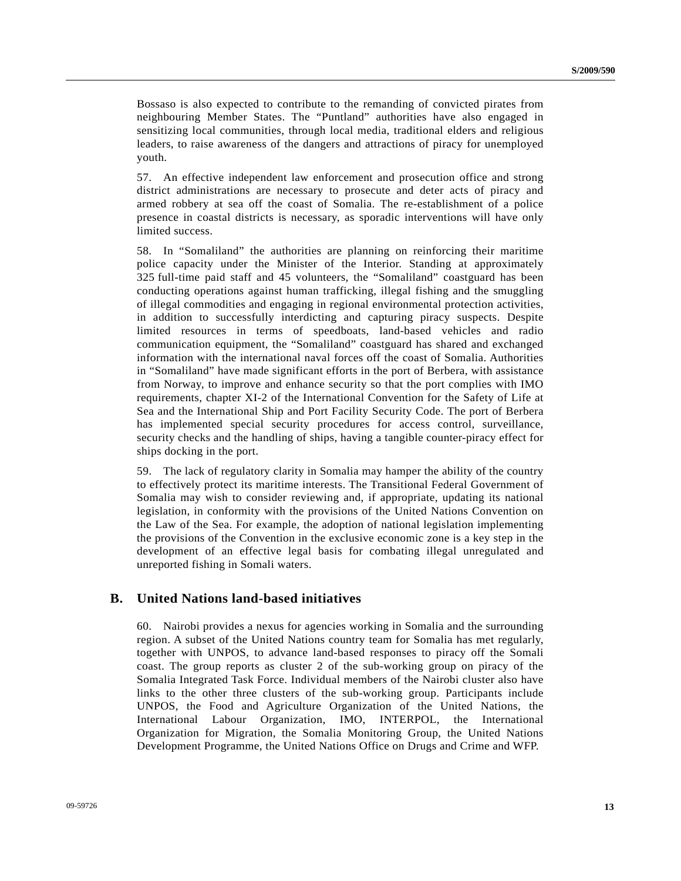Bossaso is also expected to contribute to the remanding of convicted pirates from neighbouring Member States. The "Puntland" authorities have also engaged in sensitizing local communities, through local media, traditional elders and religious leaders, to raise awareness of the dangers and attractions of piracy for unemployed youth.

57. An effective independent law enforcement and prosecution office and strong district administrations are necessary to prosecute and deter acts of piracy and armed robbery at sea off the coast of Somalia. The re-establishment of a police presence in coastal districts is necessary, as sporadic interventions will have only limited success.

58. In "Somaliland" the authorities are planning on reinforcing their maritime police capacity under the Minister of the Interior. Standing at approximately 325 full-time paid staff and 45 volunteers, the "Somaliland" coastguard has been conducting operations against human trafficking, illegal fishing and the smuggling of illegal commodities and engaging in regional environmental protection activities, in addition to successfully interdicting and capturing piracy suspects. Despite limited resources in terms of speedboats, land-based vehicles and radio communication equipment, the "Somaliland" coastguard has shared and exchanged information with the international naval forces off the coast of Somalia. Authorities in "Somaliland" have made significant efforts in the port of Berbera, with assistance from Norway, to improve and enhance security so that the port complies with IMO requirements, chapter XI-2 of the International Convention for the Safety of Life at Sea and the International Ship and Port Facility Security Code. The port of Berbera has implemented special security procedures for access control, surveillance, security checks and the handling of ships, having a tangible counter-piracy effect for ships docking in the port.

59. The lack of regulatory clarity in Somalia may hamper the ability of the country to effectively protect its maritime interests. The Transitional Federal Government of Somalia may wish to consider reviewing and, if appropriate, updating its national legislation, in conformity with the provisions of the United Nations Convention on the Law of the Sea. For example, the adoption of national legislation implementing the provisions of the Convention in the exclusive economic zone is a key step in the development of an effective legal basis for combating illegal unregulated and unreported fishing in Somali waters.

### **B. United Nations land-based initiatives**

60. Nairobi provides a nexus for agencies working in Somalia and the surrounding region. A subset of the United Nations country team for Somalia has met regularly, together with UNPOS, to advance land-based responses to piracy off the Somali coast. The group reports as cluster 2 of the sub-working group on piracy of the Somalia Integrated Task Force. Individual members of the Nairobi cluster also have links to the other three clusters of the sub-working group. Participants include UNPOS, the Food and Agriculture Organization of the United Nations, the International Labour Organization, IMO, INTERPOL, the International Organization for Migration, the Somalia Monitoring Group, the United Nations Development Programme, the United Nations Office on Drugs and Crime and WFP.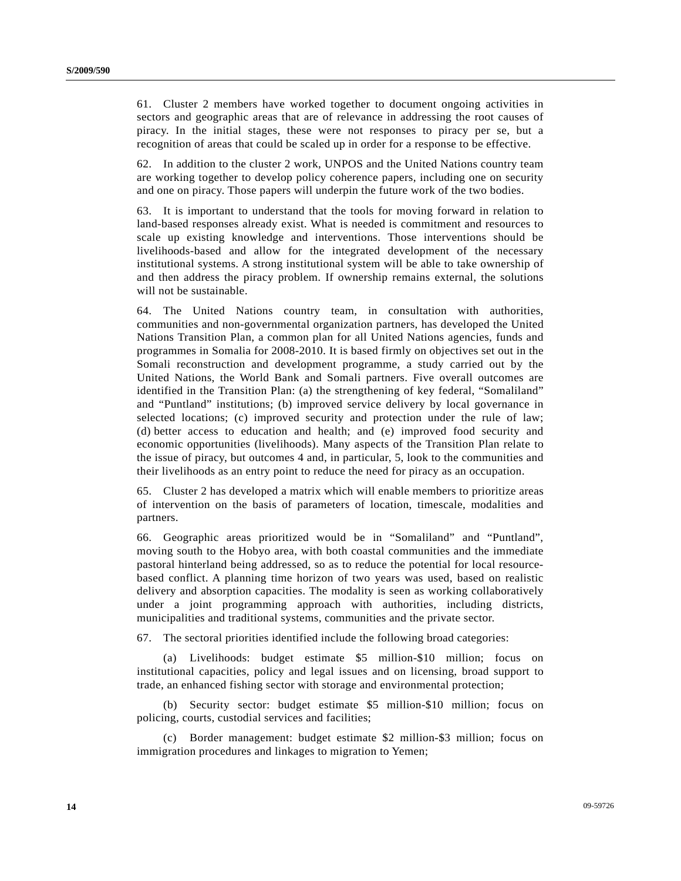61. Cluster 2 members have worked together to document ongoing activities in sectors and geographic areas that are of relevance in addressing the root causes of piracy. In the initial stages, these were not responses to piracy per se, but a recognition of areas that could be scaled up in order for a response to be effective.

62. In addition to the cluster 2 work, UNPOS and the United Nations country team are working together to develop policy coherence papers, including one on security and one on piracy. Those papers will underpin the future work of the two bodies.

63. It is important to understand that the tools for moving forward in relation to land-based responses already exist. What is needed is commitment and resources to scale up existing knowledge and interventions. Those interventions should be livelihoods-based and allow for the integrated development of the necessary institutional systems. A strong institutional system will be able to take ownership of and then address the piracy problem. If ownership remains external, the solutions will not be sustainable.

64. The United Nations country team, in consultation with authorities, communities and non-governmental organization partners, has developed the United Nations Transition Plan, a common plan for all United Nations agencies, funds and programmes in Somalia for 2008-2010. It is based firmly on objectives set out in the Somali reconstruction and development programme, a study carried out by the United Nations, the World Bank and Somali partners. Five overall outcomes are identified in the Transition Plan: (a) the strengthening of key federal, "Somaliland" and "Puntland" institutions; (b) improved service delivery by local governance in selected locations; (c) improved security and protection under the rule of law; (d) better access to education and health; and (e) improved food security and economic opportunities (livelihoods). Many aspects of the Transition Plan relate to the issue of piracy, but outcomes 4 and, in particular, 5, look to the communities and their livelihoods as an entry point to reduce the need for piracy as an occupation.

65. Cluster 2 has developed a matrix which will enable members to prioritize areas of intervention on the basis of parameters of location, timescale, modalities and partners.

66. Geographic areas prioritized would be in "Somaliland" and "Puntland", moving south to the Hobyo area, with both coastal communities and the immediate pastoral hinterland being addressed, so as to reduce the potential for local resourcebased conflict. A planning time horizon of two years was used, based on realistic delivery and absorption capacities. The modality is seen as working collaboratively under a joint programming approach with authorities, including districts, municipalities and traditional systems, communities and the private sector.

67. The sectoral priorities identified include the following broad categories:

 (a) Livelihoods: budget estimate \$5 million-\$10 million; focus on institutional capacities, policy and legal issues and on licensing, broad support to trade, an enhanced fishing sector with storage and environmental protection;

 (b) Security sector: budget estimate \$5 million-\$10 million; focus on policing, courts, custodial services and facilities;

 (c) Border management: budget estimate \$2 million-\$3 million; focus on immigration procedures and linkages to migration to Yemen;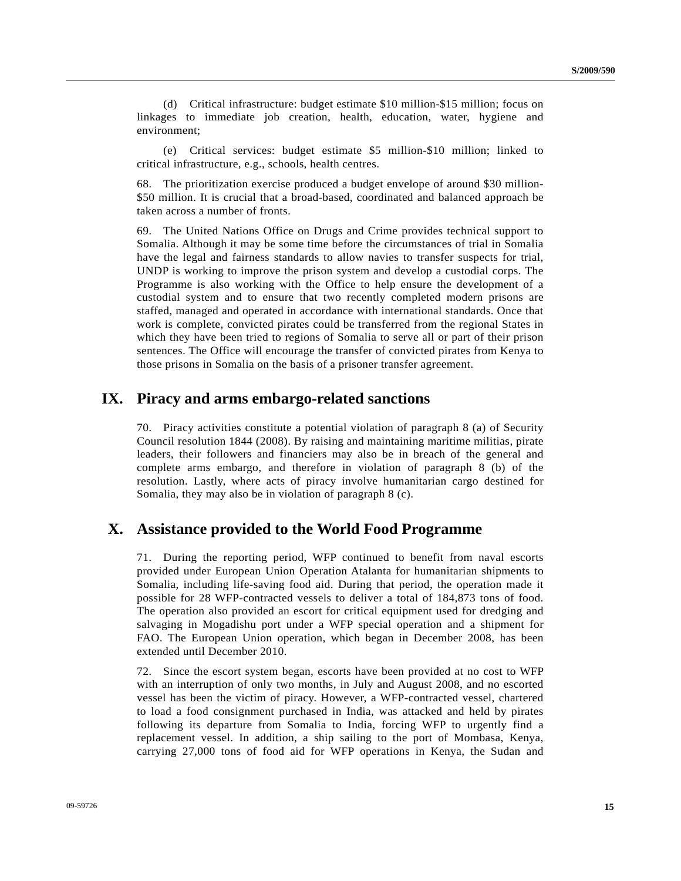(d) Critical infrastructure: budget estimate \$10 million-\$15 million; focus on linkages to immediate job creation, health, education, water, hygiene and environment;

 (e) Critical services: budget estimate \$5 million-\$10 million; linked to critical infrastructure, e.g., schools, health centres.

68. The prioritization exercise produced a budget envelope of around \$30 million- \$50 million. It is crucial that a broad-based, coordinated and balanced approach be taken across a number of fronts.

69. The United Nations Office on Drugs and Crime provides technical support to Somalia. Although it may be some time before the circumstances of trial in Somalia have the legal and fairness standards to allow navies to transfer suspects for trial, UNDP is working to improve the prison system and develop a custodial corps. The Programme is also working with the Office to help ensure the development of a custodial system and to ensure that two recently completed modern prisons are staffed, managed and operated in accordance with international standards. Once that work is complete, convicted pirates could be transferred from the regional States in which they have been tried to regions of Somalia to serve all or part of their prison sentences. The Office will encourage the transfer of convicted pirates from Kenya to those prisons in Somalia on the basis of a prisoner transfer agreement.

## **IX. Piracy and arms embargo-related sanctions**

70. Piracy activities constitute a potential violation of paragraph 8 (a) of Security Council resolution 1844 (2008). By raising and maintaining maritime militias, pirate leaders, their followers and financiers may also be in breach of the general and complete arms embargo, and therefore in violation of paragraph 8 (b) of the resolution. Lastly, where acts of piracy involve humanitarian cargo destined for Somalia, they may also be in violation of paragraph 8 (c).

## **X. Assistance provided to the World Food Programme**

71. During the reporting period, WFP continued to benefit from naval escorts provided under European Union Operation Atalanta for humanitarian shipments to Somalia, including life-saving food aid. During that period, the operation made it possible for 28 WFP-contracted vessels to deliver a total of 184,873 tons of food. The operation also provided an escort for critical equipment used for dredging and salvaging in Mogadishu port under a WFP special operation and a shipment for FAO. The European Union operation, which began in December 2008, has been extended until December 2010.

72. Since the escort system began, escorts have been provided at no cost to WFP with an interruption of only two months, in July and August 2008, and no escorted vessel has been the victim of piracy. However, a WFP-contracted vessel, chartered to load a food consignment purchased in India, was attacked and held by pirates following its departure from Somalia to India, forcing WFP to urgently find a replacement vessel. In addition, a ship sailing to the port of Mombasa, Kenya, carrying 27,000 tons of food aid for WFP operations in Kenya, the Sudan and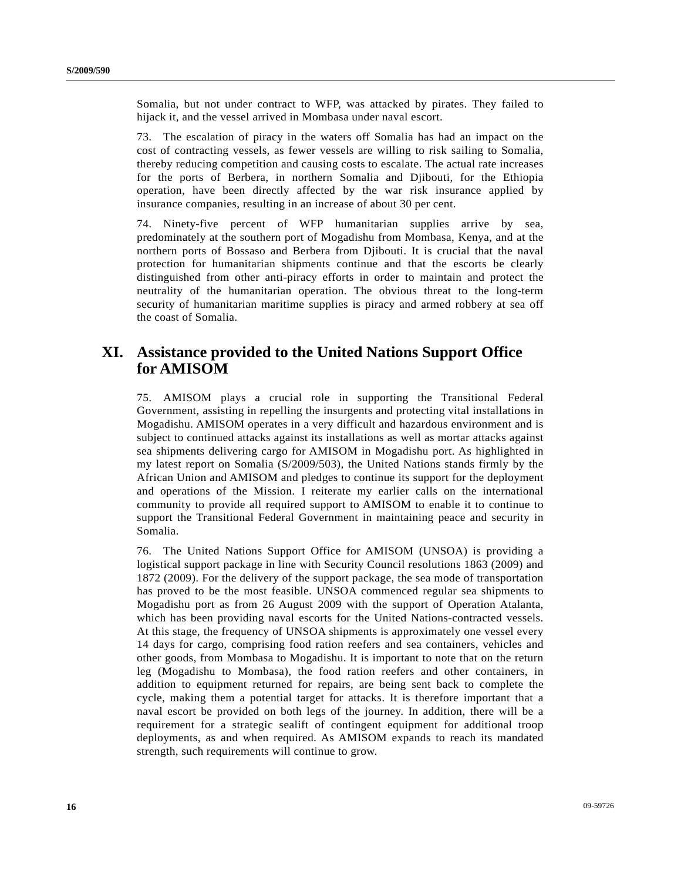Somalia, but not under contract to WFP, was attacked by pirates. They failed to hijack it, and the vessel arrived in Mombasa under naval escort.

73. The escalation of piracy in the waters off Somalia has had an impact on the cost of contracting vessels, as fewer vessels are willing to risk sailing to Somalia, thereby reducing competition and causing costs to escalate. The actual rate increases for the ports of Berbera, in northern Somalia and Djibouti, for the Ethiopia operation, have been directly affected by the war risk insurance applied by insurance companies, resulting in an increase of about 30 per cent.

74. Ninety-five percent of WFP humanitarian supplies arrive by sea, predominately at the southern port of Mogadishu from Mombasa, Kenya, and at the northern ports of Bossaso and Berbera from Djibouti. It is crucial that the naval protection for humanitarian shipments continue and that the escorts be clearly distinguished from other anti-piracy efforts in order to maintain and protect the neutrality of the humanitarian operation. The obvious threat to the long-term security of humanitarian maritime supplies is piracy and armed robbery at sea off the coast of Somalia.

# **XI. Assistance provided to the United Nations Support Office for AMISOM**

75. AMISOM plays a crucial role in supporting the Transitional Federal Government, assisting in repelling the insurgents and protecting vital installations in Mogadishu. AMISOM operates in a very difficult and hazardous environment and is subject to continued attacks against its installations as well as mortar attacks against sea shipments delivering cargo for AMISOM in Mogadishu port. As highlighted in my latest report on Somalia (S/2009/503), the United Nations stands firmly by the African Union and AMISOM and pledges to continue its support for the deployment and operations of the Mission. I reiterate my earlier calls on the international community to provide all required support to AMISOM to enable it to continue to support the Transitional Federal Government in maintaining peace and security in Somalia.

76. The United Nations Support Office for AMISOM (UNSOA) is providing a logistical support package in line with Security Council resolutions 1863 (2009) and 1872 (2009). For the delivery of the support package, the sea mode of transportation has proved to be the most feasible. UNSOA commenced regular sea shipments to Mogadishu port as from 26 August 2009 with the support of Operation Atalanta, which has been providing naval escorts for the United Nations-contracted vessels. At this stage, the frequency of UNSOA shipments is approximately one vessel every 14 days for cargo, comprising food ration reefers and sea containers, vehicles and other goods, from Mombasa to Mogadishu. It is important to note that on the return leg (Mogadishu to Mombasa), the food ration reefers and other containers, in addition to equipment returned for repairs, are being sent back to complete the cycle, making them a potential target for attacks. It is therefore important that a naval escort be provided on both legs of the journey. In addition, there will be a requirement for a strategic sealift of contingent equipment for additional troop deployments, as and when required. As AMISOM expands to reach its mandated strength, such requirements will continue to grow.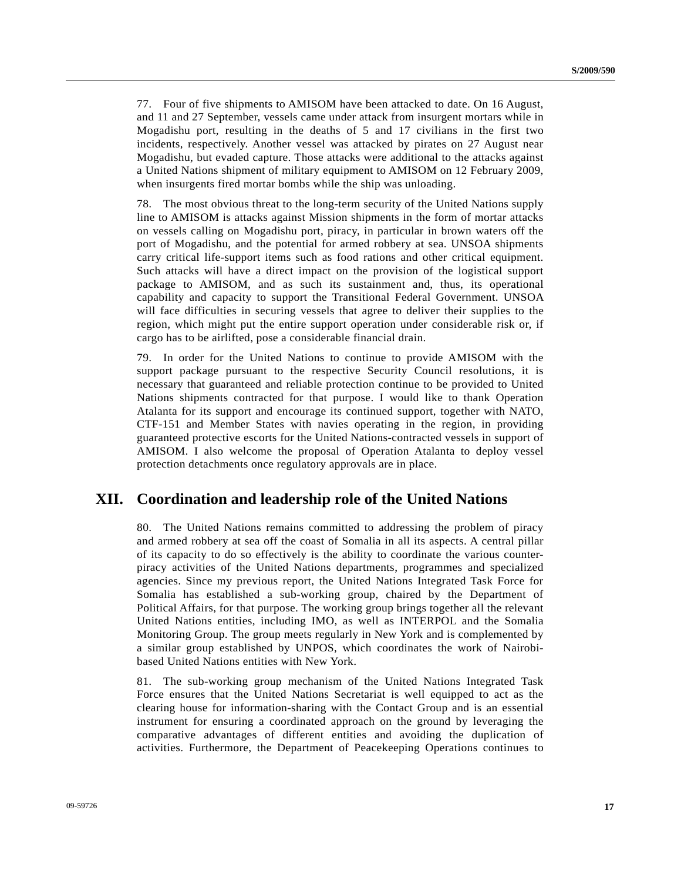77. Four of five shipments to AMISOM have been attacked to date. On 16 August, and 11 and 27 September, vessels came under attack from insurgent mortars while in Mogadishu port, resulting in the deaths of 5 and 17 civilians in the first two incidents, respectively. Another vessel was attacked by pirates on 27 August near Mogadishu, but evaded capture. Those attacks were additional to the attacks against a United Nations shipment of military equipment to AMISOM on 12 February 2009, when insurgents fired mortar bombs while the ship was unloading.

78. The most obvious threat to the long-term security of the United Nations supply line to AMISOM is attacks against Mission shipments in the form of mortar attacks on vessels calling on Mogadishu port, piracy, in particular in brown waters off the port of Mogadishu, and the potential for armed robbery at sea. UNSOA shipments carry critical life-support items such as food rations and other critical equipment. Such attacks will have a direct impact on the provision of the logistical support package to AMISOM, and as such its sustainment and, thus, its operational capability and capacity to support the Transitional Federal Government. UNSOA will face difficulties in securing vessels that agree to deliver their supplies to the region, which might put the entire support operation under considerable risk or, if cargo has to be airlifted, pose a considerable financial drain.

79. In order for the United Nations to continue to provide AMISOM with the support package pursuant to the respective Security Council resolutions, it is necessary that guaranteed and reliable protection continue to be provided to United Nations shipments contracted for that purpose. I would like to thank Operation Atalanta for its support and encourage its continued support, together with NATO, CTF-151 and Member States with navies operating in the region, in providing guaranteed protective escorts for the United Nations-contracted vessels in support of AMISOM. I also welcome the proposal of Operation Atalanta to deploy vessel protection detachments once regulatory approvals are in place.

## **XII. Coordination and leadership role of the United Nations**

80. The United Nations remains committed to addressing the problem of piracy and armed robbery at sea off the coast of Somalia in all its aspects. A central pillar of its capacity to do so effectively is the ability to coordinate the various counterpiracy activities of the United Nations departments, programmes and specialized agencies. Since my previous report, the United Nations Integrated Task Force for Somalia has established a sub-working group, chaired by the Department of Political Affairs, for that purpose. The working group brings together all the relevant United Nations entities, including IMO, as well as INTERPOL and the Somalia Monitoring Group. The group meets regularly in New York and is complemented by a similar group established by UNPOS, which coordinates the work of Nairobibased United Nations entities with New York.

81. The sub-working group mechanism of the United Nations Integrated Task Force ensures that the United Nations Secretariat is well equipped to act as the clearing house for information-sharing with the Contact Group and is an essential instrument for ensuring a coordinated approach on the ground by leveraging the comparative advantages of different entities and avoiding the duplication of activities. Furthermore, the Department of Peacekeeping Operations continues to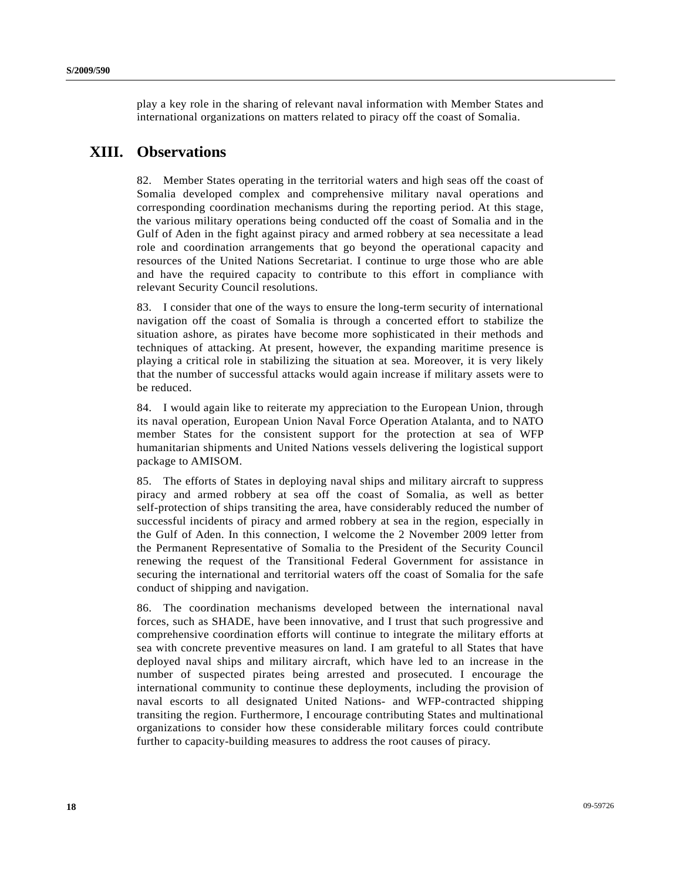play a key role in the sharing of relevant naval information with Member States and international organizations on matters related to piracy off the coast of Somalia.

## **XIII. Observations**

82. Member States operating in the territorial waters and high seas off the coast of Somalia developed complex and comprehensive military naval operations and corresponding coordination mechanisms during the reporting period. At this stage, the various military operations being conducted off the coast of Somalia and in the Gulf of Aden in the fight against piracy and armed robbery at sea necessitate a lead role and coordination arrangements that go beyond the operational capacity and resources of the United Nations Secretariat. I continue to urge those who are able and have the required capacity to contribute to this effort in compliance with relevant Security Council resolutions.

83. I consider that one of the ways to ensure the long-term security of international navigation off the coast of Somalia is through a concerted effort to stabilize the situation ashore, as pirates have become more sophisticated in their methods and techniques of attacking. At present, however, the expanding maritime presence is playing a critical role in stabilizing the situation at sea. Moreover, it is very likely that the number of successful attacks would again increase if military assets were to be reduced.

84. I would again like to reiterate my appreciation to the European Union, through its naval operation, European Union Naval Force Operation Atalanta, and to NATO member States for the consistent support for the protection at sea of WFP humanitarian shipments and United Nations vessels delivering the logistical support package to AMISOM.

85. The efforts of States in deploying naval ships and military aircraft to suppress piracy and armed robbery at sea off the coast of Somalia, as well as better self-protection of ships transiting the area, have considerably reduced the number of successful incidents of piracy and armed robbery at sea in the region, especially in the Gulf of Aden. In this connection, I welcome the 2 November 2009 letter from the Permanent Representative of Somalia to the President of the Security Council renewing the request of the Transitional Federal Government for assistance in securing the international and territorial waters off the coast of Somalia for the safe conduct of shipping and navigation.

86. The coordination mechanisms developed between the international naval forces, such as SHADE, have been innovative, and I trust that such progressive and comprehensive coordination efforts will continue to integrate the military efforts at sea with concrete preventive measures on land. I am grateful to all States that have deployed naval ships and military aircraft, which have led to an increase in the number of suspected pirates being arrested and prosecuted. I encourage the international community to continue these deployments, including the provision of naval escorts to all designated United Nations- and WFP-contracted shipping transiting the region. Furthermore, I encourage contributing States and multinational organizations to consider how these considerable military forces could contribute further to capacity-building measures to address the root causes of piracy.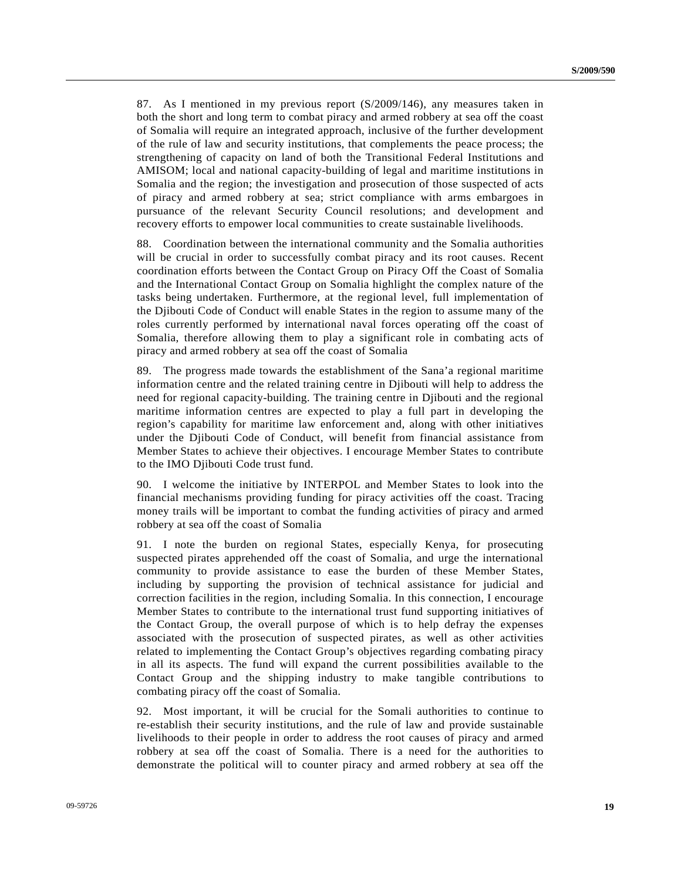87. As I mentioned in my previous report (S/2009/146), any measures taken in both the short and long term to combat piracy and armed robbery at sea off the coast of Somalia will require an integrated approach, inclusive of the further development of the rule of law and security institutions, that complements the peace process; the strengthening of capacity on land of both the Transitional Federal Institutions and AMISOM; local and national capacity-building of legal and maritime institutions in Somalia and the region; the investigation and prosecution of those suspected of acts of piracy and armed robbery at sea; strict compliance with arms embargoes in pursuance of the relevant Security Council resolutions; and development and recovery efforts to empower local communities to create sustainable livelihoods.

88. Coordination between the international community and the Somalia authorities will be crucial in order to successfully combat piracy and its root causes. Recent coordination efforts between the Contact Group on Piracy Off the Coast of Somalia and the International Contact Group on Somalia highlight the complex nature of the tasks being undertaken. Furthermore, at the regional level, full implementation of the Djibouti Code of Conduct will enable States in the region to assume many of the roles currently performed by international naval forces operating off the coast of Somalia, therefore allowing them to play a significant role in combating acts of piracy and armed robbery at sea off the coast of Somalia

89. The progress made towards the establishment of the Sana'a regional maritime information centre and the related training centre in Djibouti will help to address the need for regional capacity-building. The training centre in Djibouti and the regional maritime information centres are expected to play a full part in developing the region's capability for maritime law enforcement and, along with other initiatives under the Djibouti Code of Conduct, will benefit from financial assistance from Member States to achieve their objectives. I encourage Member States to contribute to the IMO Djibouti Code trust fund.

90. I welcome the initiative by INTERPOL and Member States to look into the financial mechanisms providing funding for piracy activities off the coast. Tracing money trails will be important to combat the funding activities of piracy and armed robbery at sea off the coast of Somalia

91. I note the burden on regional States, especially Kenya, for prosecuting suspected pirates apprehended off the coast of Somalia, and urge the international community to provide assistance to ease the burden of these Member States, including by supporting the provision of technical assistance for judicial and correction facilities in the region, including Somalia. In this connection, I encourage Member States to contribute to the international trust fund supporting initiatives of the Contact Group, the overall purpose of which is to help defray the expenses associated with the prosecution of suspected pirates, as well as other activities related to implementing the Contact Group's objectives regarding combating piracy in all its aspects. The fund will expand the current possibilities available to the Contact Group and the shipping industry to make tangible contributions to combating piracy off the coast of Somalia.

92. Most important, it will be crucial for the Somali authorities to continue to re-establish their security institutions, and the rule of law and provide sustainable livelihoods to their people in order to address the root causes of piracy and armed robbery at sea off the coast of Somalia. There is a need for the authorities to demonstrate the political will to counter piracy and armed robbery at sea off the